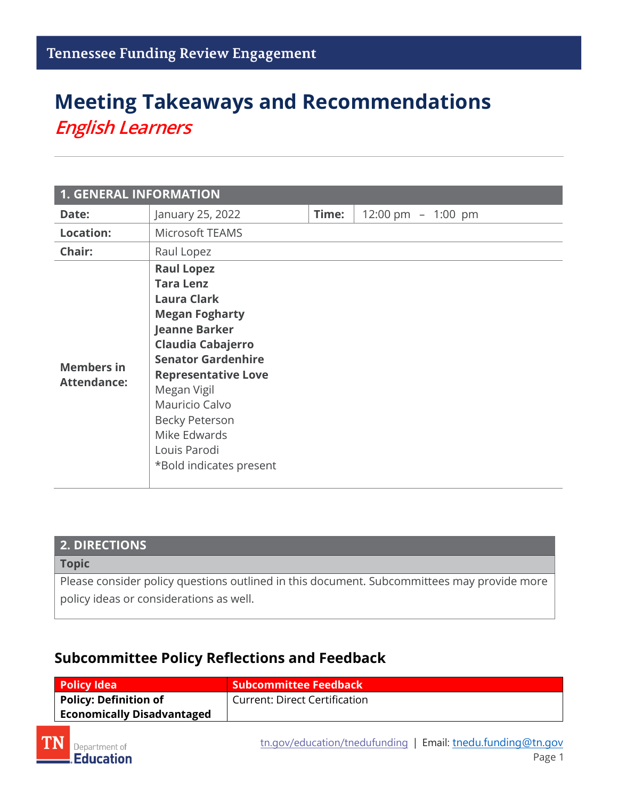## **Meeting Takeaways and Recommendations** *English Learners*

| <b>1. GENERAL INFORMATION</b>           |                                                                                                                                                                                                                                                                                                                   |       |                      |  |
|-----------------------------------------|-------------------------------------------------------------------------------------------------------------------------------------------------------------------------------------------------------------------------------------------------------------------------------------------------------------------|-------|----------------------|--|
| Date:                                   | January 25, 2022                                                                                                                                                                                                                                                                                                  | Time: | 12:00 pm $-$ 1:00 pm |  |
| <b>Location:</b>                        | <b>Microsoft TEAMS</b>                                                                                                                                                                                                                                                                                            |       |                      |  |
| Chair:                                  | Raul Lopez                                                                                                                                                                                                                                                                                                        |       |                      |  |
| <b>Members in</b><br><b>Attendance:</b> | <b>Raul Lopez</b><br><b>Tara Lenz</b><br><b>Laura Clark</b><br><b>Megan Fogharty</b><br><b>Jeanne Barker</b><br>Claudia Cabajerro<br><b>Senator Gardenhire</b><br><b>Representative Love</b><br>Megan Vigil<br>Mauricio Calvo<br><b>Becky Peterson</b><br>Mike Edwards<br>Louis Parodi<br>*Bold indicates present |       |                      |  |

| <b>2. DIRECTIONS</b>                                                                                                                  |  |
|---------------------------------------------------------------------------------------------------------------------------------------|--|
| <b>Topic</b>                                                                                                                          |  |
| Please consider policy questions outlined in this document. Subcommittees may provide more<br>policy ideas or considerations as well. |  |

## **Subcommittee Policy Reflections and Feedback**

| Policy Idea                       | Subcommittee Feedback                |
|-----------------------------------|--------------------------------------|
| $\mathsf I$ Policy: Definition of | <b>Current: Direct Certification</b> |
| <b>Economically Disadvantaged</b> |                                      |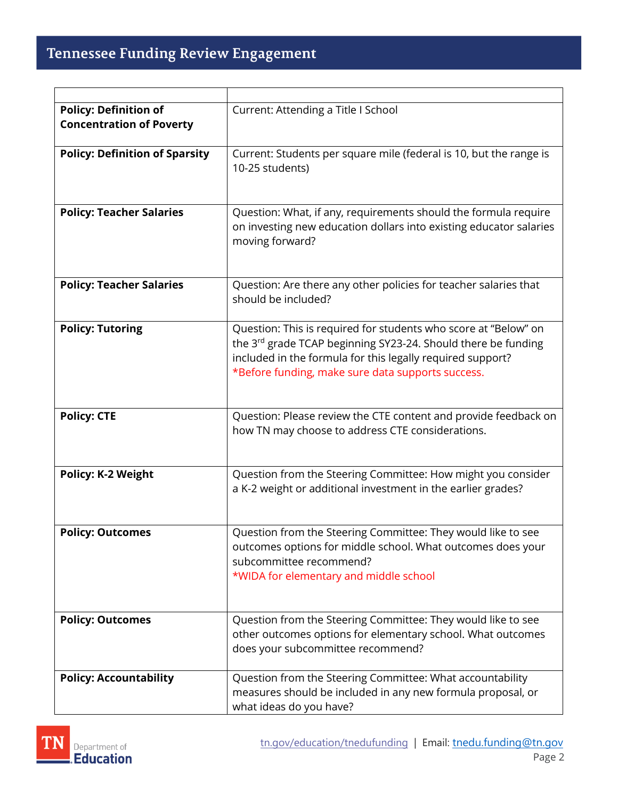| <b>Policy: Definition of</b><br><b>Concentration of Poverty</b> | Current: Attending a Title I School                                                                                                                                                                                                                 |
|-----------------------------------------------------------------|-----------------------------------------------------------------------------------------------------------------------------------------------------------------------------------------------------------------------------------------------------|
| <b>Policy: Definition of Sparsity</b>                           | Current: Students per square mile (federal is 10, but the range is<br>10-25 students)                                                                                                                                                               |
| <b>Policy: Teacher Salaries</b>                                 | Question: What, if any, requirements should the formula require<br>on investing new education dollars into existing educator salaries<br>moving forward?                                                                                            |
| <b>Policy: Teacher Salaries</b>                                 | Question: Are there any other policies for teacher salaries that<br>should be included?                                                                                                                                                             |
| <b>Policy: Tutoring</b>                                         | Question: This is required for students who score at "Below" on<br>the 3rd grade TCAP beginning SY23-24. Should there be funding<br>included in the formula for this legally required support?<br>*Before funding, make sure data supports success. |
| <b>Policy: CTE</b>                                              | Question: Please review the CTE content and provide feedback on<br>how TN may choose to address CTE considerations.                                                                                                                                 |
| <b>Policy: K-2 Weight</b>                                       | Question from the Steering Committee: How might you consider<br>a K-2 weight or additional investment in the earlier grades?                                                                                                                        |
| <b>Policy: Outcomes</b>                                         | Question from the Steering Committee: They would like to see<br>outcomes options for middle school. What outcomes does your<br>subcommittee recommend?<br>*WIDA for elementary and middle school                                                    |
| <b>Policy: Outcomes</b>                                         | Question from the Steering Committee: They would like to see<br>other outcomes options for elementary school. What outcomes<br>does your subcommittee recommend?                                                                                    |
| <b>Policy: Accountability</b>                                   | Question from the Steering Committee: What accountability<br>measures should be included in any new formula proposal, or<br>what ideas do you have?                                                                                                 |

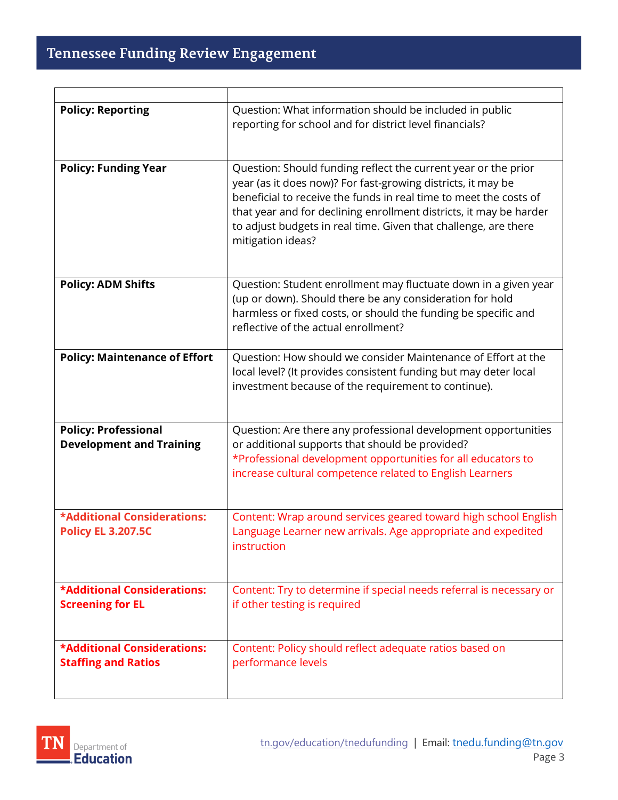| <b>Policy: Reporting</b>                                         | Question: What information should be included in public<br>reporting for school and for district level financials?                                                                                                                                                                                                                                                |
|------------------------------------------------------------------|-------------------------------------------------------------------------------------------------------------------------------------------------------------------------------------------------------------------------------------------------------------------------------------------------------------------------------------------------------------------|
| <b>Policy: Funding Year</b>                                      | Question: Should funding reflect the current year or the prior<br>year (as it does now)? For fast-growing districts, it may be<br>beneficial to receive the funds in real time to meet the costs of<br>that year and for declining enrollment districts, it may be harder<br>to adjust budgets in real time. Given that challenge, are there<br>mitigation ideas? |
| <b>Policy: ADM Shifts</b>                                        | Question: Student enrollment may fluctuate down in a given year<br>(up or down). Should there be any consideration for hold<br>harmless or fixed costs, or should the funding be specific and<br>reflective of the actual enrollment?                                                                                                                             |
| <b>Policy: Maintenance of Effort</b>                             | Question: How should we consider Maintenance of Effort at the<br>local level? (It provides consistent funding but may deter local<br>investment because of the requirement to continue).                                                                                                                                                                          |
| <b>Policy: Professional</b><br><b>Development and Training</b>   | Question: Are there any professional development opportunities<br>or additional supports that should be provided?<br>*Professional development opportunities for all educators to<br>increase cultural competence related to English Learners                                                                                                                     |
| *Additional Considerations:<br><b>Policy EL 3.207.5C</b>         | Content: Wrap around services geared toward high school English<br>Language Learner new arrivals. Age appropriate and expedited<br>instruction                                                                                                                                                                                                                    |
| <b>*Additional Considerations:</b><br><b>Screening for EL</b>    | Content: Try to determine if special needs referral is necessary or<br>if other testing is required                                                                                                                                                                                                                                                               |
| <b>*Additional Considerations:</b><br><b>Staffing and Ratios</b> | Content: Policy should reflect adequate ratios based on<br>performance levels                                                                                                                                                                                                                                                                                     |